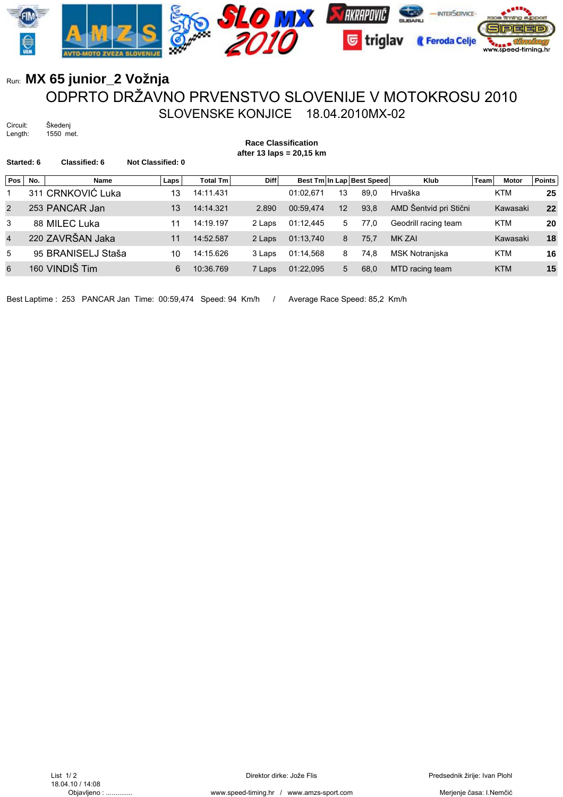

## Run: **MX 65 junior\_2 Vožnja** ODPRTO DRŽAVNO PRVENSTVO SLOVENIJE V MOTOKROSU 2010 SLOVENSKE KONJICE 18.04.2010MX-02

Circuit: Škedenj<br>Length: 1550 m 1550 met.

**Race Classification after 13 laps = 20,15 km**

| Started: 6     |     | Classified: 6      | Not Classified: 0 |                 |             |           |    |                           |                        |      |              |               |
|----------------|-----|--------------------|-------------------|-----------------|-------------|-----------|----|---------------------------|------------------------|------|--------------|---------------|
| Pos            | No. | <b>Name</b>        | Laps              | <b>Total Tm</b> | <b>Diff</b> |           |    | Best Tm In Lap Best Speed | <b>Klub</b>            | Team | <b>Motor</b> | <b>Points</b> |
|                |     | 311 CRNKOVIĆ Luka  | 13                | 14:11.431       |             | 01:02.671 | 13 | 89.0                      | Hrvaška                |      | <b>KTM</b>   | 25            |
| $\overline{2}$ |     | 253 PANCAR Jan     | 13                | 14:14.321       | 2.890       | 00:59.474 | 12 | 93.8                      | AMD Šentvid pri Stični |      | Kawasaki     | 22            |
| 3              |     | 88 MILEC Luka      | 11                | 14:19.197       | 2 Laps      | 01:12.445 | 5  | 77.0                      | Geodrill racing team   |      | <b>KTM</b>   | 20            |
| $\overline{4}$ |     | 220 ZAVRŠAN Jaka   | 11                | 14:52.587       | 2 Laps      | 01:13,740 | 8  | 75,7                      | MK ZAI                 |      | Kawasaki     | 18            |
| 5              |     | 95 BRANISELJ Staša | 10                | 14:15.626       | 3 Laps      | 01:14.568 | 8  | 74,8                      | MSK Notranjska         |      | <b>KTM</b>   | 16            |
| 6              |     | 160 VINDIŠ Tim     | 6                 | 10:36.769       | 7 Laps      | 01:22.095 | 5  | 68,0                      | MTD racing team        |      | <b>KTM</b>   | 15            |
|                |     |                    |                   |                 |             |           |    |                           |                        |      |              |               |

Best Laptime : 253 PANCAR Jan Time: 00:59,474 Speed: 94 Km/h / Average Race Speed: 85,2 Km/h